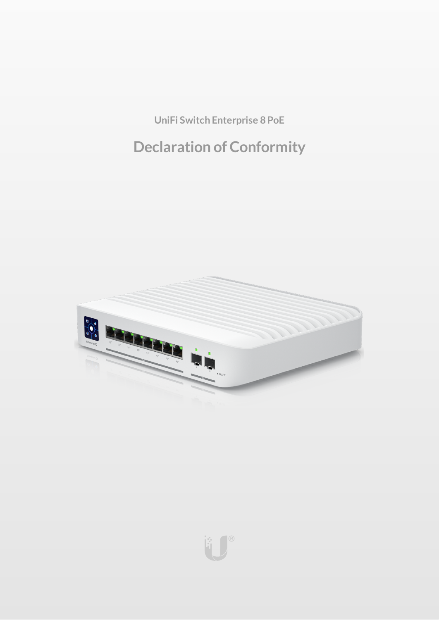**UniFi Switch Enterprise 8PoE**

# **Declaration of Conformity**



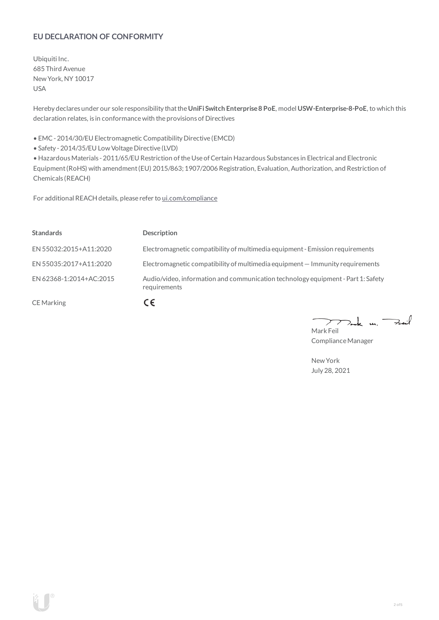# **EU DECLARATION OF CONFORMITY**

Ubiquiti Inc. 685 Third Avenue NewYork, NY 10017 USA

Hereby declares under our sole responsibility thatthe**UniFi Switch Enterprise8 PoE**, model **USW-Enterprise-8-PoE**, to which this declaration relates, is in conformancewith the provisions of Directives

• EMC- 2014/30/EU Electromagnetic Compatibility Directive (EMCD)

• Safety - 2014/35/EU Low Voltage Directive (LVD)

• HazardousMaterials - 2011/65/EU Restriction oftheUse ofCertain Hazardous Substances in Electrical and Electronic Equipment(RoHS) with amendment(EU) 2015/863; 1907/2006 Registration, Evaluation, Authorization, and Restriction of Chemicals (REACH)

For additional REACH details, please refer to [ui.com/compliance](https://www.ui.com/compliance/)

| <b>Standards</b>        | <b>Description</b>                                                                               |
|-------------------------|--------------------------------------------------------------------------------------------------|
| EN 55032:2015+A11:2020  | Electromagnetic compatibility of multimedia equipment - Emission requirements                    |
| EN 55035:2017+A11:2020  | Electromagnetic compatibility of multimedia equipment $-$ Immunity requirements                  |
| EN 62368-1:2014+AC:2015 | Audio/video, information and communication technology equipment - Part 1: Safety<br>requirements |
| <b>CE</b> Marking       | CE                                                                                               |

 $k$  un  $\rightarrow$ Mark Feil

ComplianceManager

NewYork July 28, 2021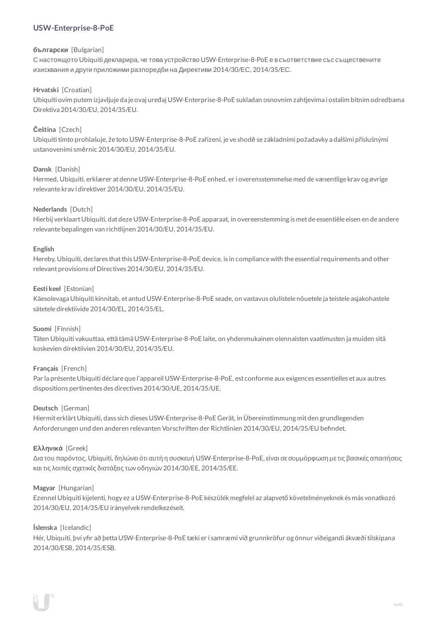# **USW-Enterprise-8-PoE**

# **български** [Bulgarian]

С настоящото Ubiquiti декларира, че това устройство USW-Enterprise-8-PoE е в съответствие със съществените изисквания и други приложими разпоредби на Директиви 2014/30/ЕС, 2014/35/ЕС.

# **Hrvatski** [Croatian]

Ubiquiti ovim putem izjavljuje da je ovaj uređaj USW-Enterprise-8-PoE sukladan osnovnim zahtjevima i ostalim bitnim odredbama Direktiva 2014/30/EU, 2014/35/EU.

# **Čeština** [Czech]

Ubiquititímto prohlašuje, že toto USW-Enterprise-8-PoE zařízení, je ve shodě se základními požadavky a dalšími příslušnými ustanoveními směrnic 2014/30/EU, 2014/35/EU.

# **Dansk** [Danish]

Hermed, Ubiquiti, erklærer at denne USW-Enterprise-8-PoE enhed, er i overensstemmelse med de væsentlige krav og øvrige relevante krav i direktiver 2014/30/EU, 2014/35/EU.

#### **Nederlands** [Dutch]

Hierbij verklaart Ubiquiti, dat deze USW-Enterprise-8-PoE apparaat, in overeenstemming is met de essentiële eisen en de andere relevante bepalingen van richtlijnen 2014/30/EU, 2014/35/EU.

#### **English**

Hereby, Ubiquiti, declares that this USW-Enterprise-8-PoE device, is in compliance with the essential requirements and other relevantprovisions of Directives 2014/30/EU, 2014/35/EU.

#### **Eesti keel** [Estonian]

Käesolevaga Ubiquiti kinnitab, et antud USW-Enterprise-8-PoE seade, on vastavus olulistele nõuetele ja teistele asjakohastele sätetele direktiivide 2014/30/EL, 2014/35/EL,

#### **Suomi** [Finnish]

Täten Ubiquiti vakuuttaa, että tämä USW-Enterprise-8-PoE laite, on yhdenmukainen olennaisten vaatimusten ja muiden sitä koskevien direktiivien 2014/30/EU, 2014/35/EU.

# **Français** [French]

Par la présenteUbiquiti déclare que l'appareil USW-Enterprise-8-PoE, est conforme aux exigences essentielles et aux autres dispositions pertinentes des directives 2014/30/UE, 2014/35/UE.

#### **Deutsch** [German]

HiermiterklärtUbiquiti, dass sich dieses USW-Enterprise-8-PoE Gerät, in Übereinstimmung mitden grundlegenden Anforderungen und den anderen relevanten Vorschriften der Richtlinien 2014/30/EU, 2014/35/EU befindet.

#### **Ελληνικά** [Greek]

Δια του παρόντος, Ubiquiti, δηλώνει ότι αυτή η συσκευή USW-Enterprise-8-PoE, είναι σεσυµµόρφωση µε τις βασικές απαιτήσεις καιτις λοιπές σχετικές διατάξεις των οδηγιών 2014/30/EE, 2014/35/EE.

#### **Magyar** [Hungarian]

Ezennel Ubiquiti kijelenti, hogy ez a USW-Enterprise-8-PoE készülék megfelel az alapvető követelményeknek és más vonatkozó 2014/30/EU, 2014/35/EU irányelvek rendelkezéseit.

#### **Íslenska** [Icelandic]

Hér, Ubiquiti, því yfir að þetta USW-Enterprise-8-PoE tæki er í samræmi við grunnkröfur og önnur viðeigandi ákvæði tilskipana 2014/30/ESB, 2014/35/ESB.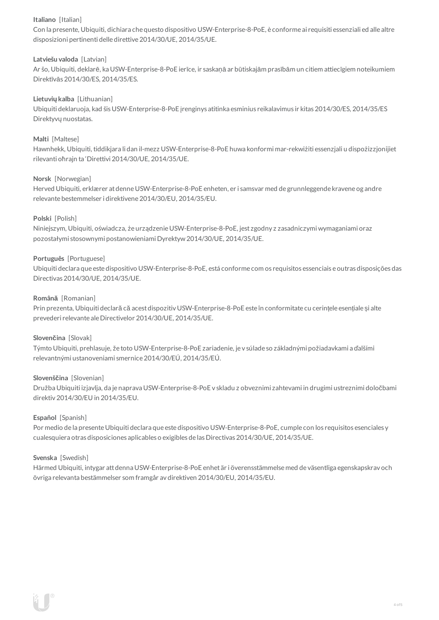# **Italiano** [Italian]

Con la presente, Ubiquiti, dichiara che questo dispositivo USW-Enterprise-8-PoE, è conforme ai requisiti essenziali ed alle altre disposizioni pertinenti delle direttive2014/30/UE, 2014/35/UE.

# **Latviešu valoda** [Latvian]

Ar šo, Ubiquiti, deklarē, ka USW-Enterprise-8-PoE ierīce, ir saskaņā ar būtiskajām prasībām un citiem attiecīgiem noteikumiem Direktīvās 2014/30/ES, 2014/35/ES.

# **Lietuviųkalba** [Lithuanian]

Ubiquiti deklaruoja, kad šis USW-Enterprise-8-PoE įrenginys atitinka esminius reikalavimus ir kitas 2014/30/ES, 2014/35/ES Direktyvų nuostatas.

# **Malti** [Maltese]

Hawnhekk, Ubiquiti, tiddikjara li dan il-mezz USW-Enterprise-8-PoE huwa konformi mar-rekwiżiti essenzjali u dispożizzjonijiet rilevanti oħrajn ta 'Direttivi 2014/30/UE, 2014/35/UE.

# **Norsk** [Norwegian]

Herved Ubiquiti, erklærer atdenneUSW-Enterprise-8-PoE enheten, er i samsvar med de grunnleggende kravene og andre relevante bestemmelser i direktivene2014/30/EU, 2014/35/EU.

# **Polski** [Polish]

Niniejszym, Ubiquiti, oświadcza, że urządzenieUSW-Enterprise-8-PoE, jest zgodny z zasadniczymi wymaganiami oraz pozostałymi stosownymi postanowieniami Dyrektyw2014/30/UE, 2014/35/UE.

# **Português** [Portuguese]

Ubiquiti declara que este dispositivo USW-Enterprise-8-PoE, está conforme com os requisitos essenciais e outras disposições das Directivas 2014/30/UE, 2014/35/UE.

# **Română** [Romanian]

Prin prezenta, Ubiquiti declară că acestdispozitiv USW-Enterprise-8-PoE este în conformitate cu cerințele esențiale și alte prevederi relevante aleDirectivelor 2014/30/UE, 2014/35/UE.

#### **Slovenčina** [Slovak]

Týmto Ubiquiti, prehlasuje, že toto USW-Enterprise-8-PoE zariadenie, je v súlade so základnými požiadavkami a ďalšími relevantnými ustanoveniami smernice2014/30/EÚ, 2014/35/EÚ.

#### **Slovenščina** [Slovenian]

Družba Ubiquiti izjavlja, da je naprava USW-Enterprise-8-PoE v skladu z obveznimi zahtevami in drugimi ustreznimi določbami direktiv 2014/30/EU in 2014/35/EU.

#### **Español** [Spanish]

Por medio de la presente Ubiquiti declara que este dispositivo USW-Enterprise-8-PoE, cumple con los requisitos esenciales y cualesquiera otras disposiciones aplicables o exigibles de lasDirectivas 2014/30/UE, 2014/35/UE.

#### **Svenska** [Swedish]

Härmed Ubiquiti, intygar attdenna USW-Enterprise-8-PoE enhet är i överensstämmelse med de väsentliga egenskapskrav och övriga relevanta bestämmelser som framgår av direktiven 2014/30/EU, 2014/35/EU.